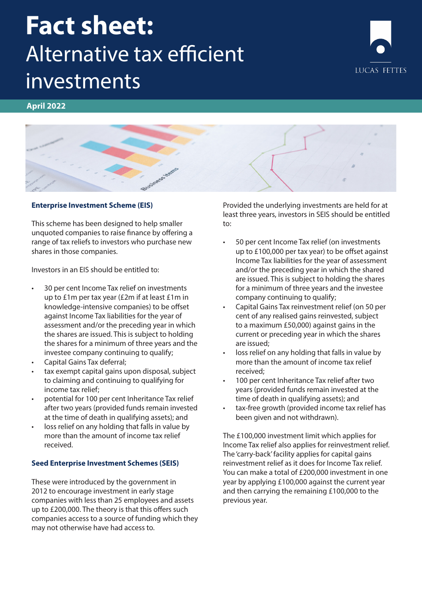# **Fact sheet:** Alternative tax efficient investments



# **April 2022**



## **Enterprise Investment Scheme (EIS)**

This scheme has been designed to help smaller unquoted companies to raise finance by offering a range of tax reliefs to investors who purchase new shares in those companies.

Investors in an EIS should be entitled to:

- 30 per cent Income Tax relief on investments up to £1m per tax year (£2m if at least £1m in knowledge-intensive companies) to be offset against Income Tax liabilities for the year of assessment and/or the preceding year in which the shares are issued. This is subject to holding the shares for a minimum of three years and the investee company continuing to qualify;
- Capital Gains Tax deferral;
- tax exempt capital gains upon disposal, subject to claiming and continuing to qualifying for income tax relief;
- potential for 100 per cent Inheritance Tax relief after two years (provided funds remain invested at the time of death in qualifying assets); and
- loss relief on any holding that falls in value by more than the amount of income tax relief received.

#### **Seed Enterprise Investment Schemes (SEIS)**

These were introduced by the government in 2012 to encourage investment in early stage companies with less than 25 employees and assets up to £200,000. The theory is that this offers such companies access to a source of funding which they may not otherwise have had access to.

Provided the underlying investments are held for at least three years, investors in SEIS should be entitled to:

- 50 per cent Income Tax relief (on investments up to £100,000 per tax year) to be offset against Income Tax liabilities for the year of assessment and/or the preceding year in which the shared are issued. This is subject to holding the shares for a minimum of three years and the investee company continuing to qualify;
- Capital Gains Tax reinvestment relief (on 50 per cent of any realised gains reinvested, subject to a maximum £50,000) against gains in the current or preceding year in which the shares are issued;
- loss relief on any holding that falls in value by more than the amount of income tax relief received;
- 100 per cent Inheritance Tax relief after two years (provided funds remain invested at the time of death in qualifying assets); and
- tax-free growth (provided income tax relief has been given and not withdrawn).

The £100,000 investment limit which applies for Income Tax relief also applies for reinvestment relief. The 'carry-back' facility applies for capital gains reinvestment relief as it does for Income Tax relief. You can make a total of £200,000 investment in one year by applying £100,000 against the current year and then carrying the remaining £100,000 to the previous year.